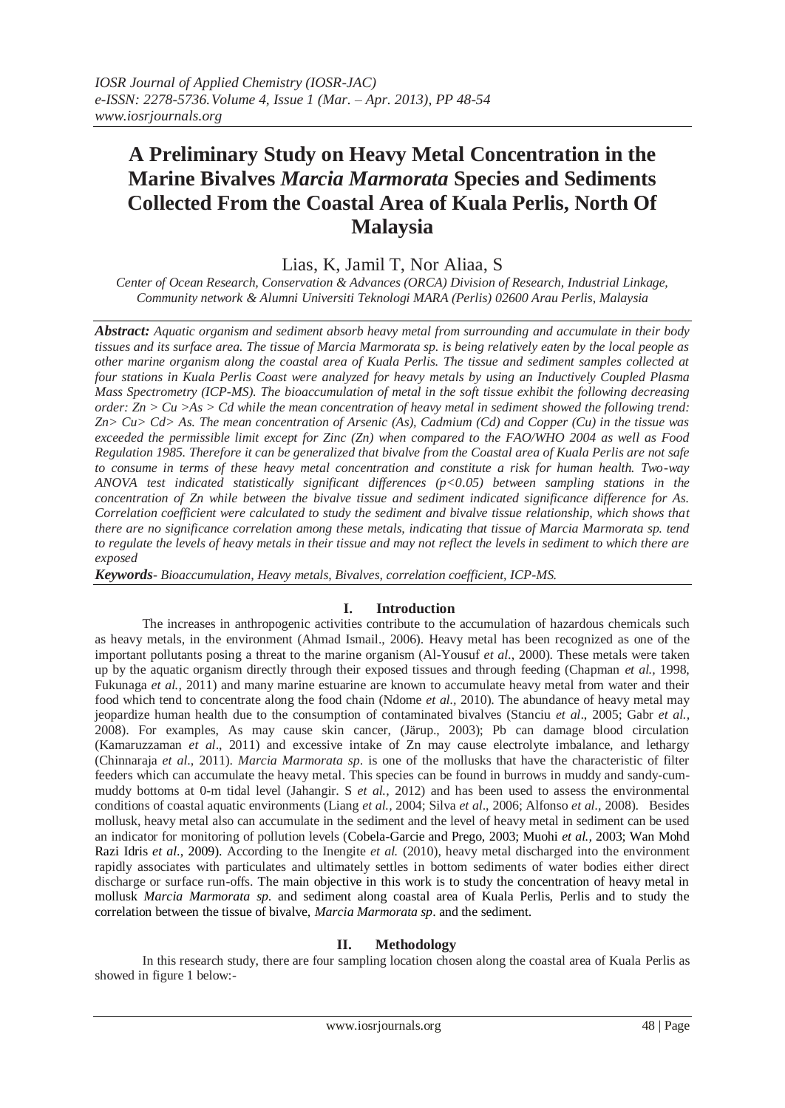# **A Preliminary Study on Heavy Metal Concentration in the Marine Bivalves** *Marcia Marmorata* **Species and Sediments Collected From the Coastal Area of Kuala Perlis, North Of Malaysia**

Lias, K, Jamil T, Nor Aliaa, S

*Center of Ocean Research, Conservation & Advances (ORCA) Division of Research, Industrial Linkage, Community network & Alumni Universiti Teknologi MARA (Perlis) 02600 Arau Perlis, Malaysia*

*Abstract: Aquatic organism and sediment absorb heavy metal from surrounding and accumulate in their body tissues and its surface area. The tissue of Marcia Marmorata sp. is being relatively eaten by the local people as other marine organism along the coastal area of Kuala Perlis. The tissue and sediment samples collected at four stations in Kuala Perlis Coast were analyzed for heavy metals by using an Inductively Coupled Plasma Mass Spectrometry (ICP-MS). The bioaccumulation of metal in the soft tissue exhibit the following decreasing order: Zn > Cu >As > Cd while the mean concentration of heavy metal in sediment showed the following trend: Zn> Cu> Cd> As. The mean concentration of Arsenic (As), Cadmium (Cd) and Copper (Cu) in the tissue was exceeded the permissible limit except for Zinc (Zn) when compared to the FAO/WHO 2004 as well as Food Regulation 1985. Therefore it can be generalized that bivalve from the Coastal area of Kuala Perlis are not safe to consume in terms of these heavy metal concentration and constitute a risk for human health. Two-way ANOVA test indicated statistically significant differences (p<0.05) between sampling stations in the concentration of Zn while between the bivalve tissue and sediment indicated significance difference for As. Correlation coefficient were calculated to study the sediment and bivalve tissue relationship, which shows that there are no significance correlation among these metals, indicating that tissue of Marcia Marmorata sp. tend to regulate the levels of heavy metals in their tissue and may not reflect the levels in sediment to which there are exposed*

*Keywords- Bioaccumulation, Heavy metals, Bivalves, correlation coefficient, ICP-MS.*

### **I. Introduction**

The increases in anthropogenic activities contribute to the accumulation of hazardous chemicals such as heavy metals, in the environment (Ahmad Ismail., 2006). Heavy metal has been recognized as one of the important pollutants posing a threat to the marine organism (Al-Yousuf *et al.*, 2000). These metals were taken up by the aquatic organism directly through their exposed tissues and through feeding (Chapman *et al.,* 1998, Fukunaga *et al.,* 2011) and many marine estuarine are known to accumulate heavy metal from water and their food which tend to concentrate along the food chain (Ndome *et al.,* 2010). The abundance of heavy metal may jeopardize human health due to the consumption of contaminated bivalves (Stanciu *et al*., 2005; Gabr *et al.,*  2008). For examples, As may cause skin cancer, (Järup., 2003); Pb can damage blood circulation (Kamaruzzaman *et al*., 2011) and excessive intake of Zn may cause electrolyte imbalance, and lethargy (Chinnaraja *et al*., 2011). *Marcia Marmorata sp*. is one of the mollusks that have the characteristic of filter feeders which can accumulate the heavy metal. This species can be found in burrows in muddy and sandy-cummuddy bottoms at 0-m tidal level (Jahangir. S *et al.,* 2012) and has been used to assess the environmental conditions of coastal aquatic environments (Liang *et al.,* 2004; Silva *et al*., 2006; Alfonso *et al.,* 2008). Besides mollusk, heavy metal also can accumulate in the sediment and the level of heavy metal in sediment can be used an indicator for monitoring of pollution levels (Cobela-Garcie and Prego, 2003; Muohi *et al.,* 2003; Wan Mohd Razi Idris *et al*., 2009). According to the Inengite *et al.* (2010), heavy metal discharged into the environment rapidly associates with particulates and ultimately settles in bottom sediments of water bodies either direct discharge or surface run-offs. The main objective in this work is to study the concentration of heavy metal in mollusk *Marcia Marmorata sp*. and sediment along coastal area of Kuala Perlis, Perlis and to study the correlation between the tissue of bivalve, *Marcia Marmorata sp*. and the sediment.

### **II. Methodology**

In this research study, there are four sampling location chosen along the coastal area of Kuala Perlis as showed in figure 1 below:-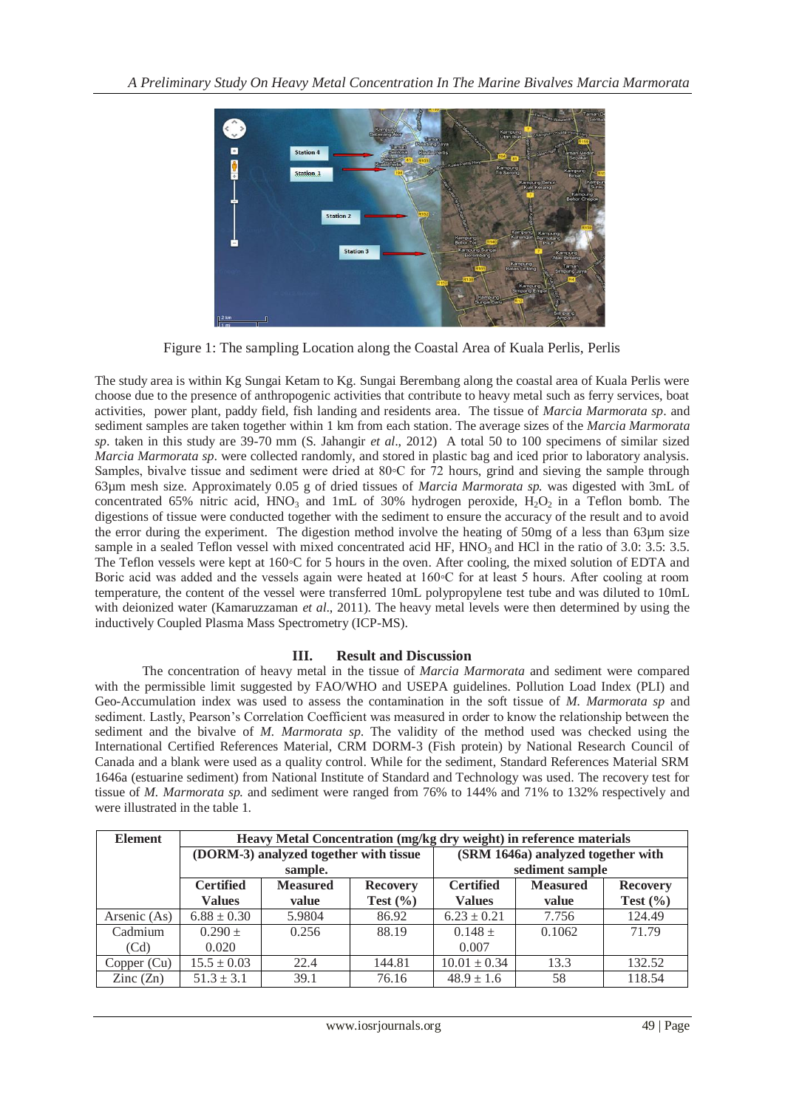

Figure 1: The sampling Location along the Coastal Area of Kuala Perlis, Perlis

The study area is within Kg Sungai Ketam to Kg. Sungai Berembang along the coastal area of Kuala Perlis were choose due to the presence of anthropogenic activities that contribute to heavy metal such as ferry services, boat activities, power plant, paddy field, fish landing and residents area. The tissue of *Marcia Marmorata sp*. and sediment samples are taken together within 1 km from each station. The average sizes of the *Marcia Marmorata sp*. taken in this study are 39-70 mm (S. Jahangir *et al*., 2012) A total 50 to 100 specimens of similar sized *Marcia Marmorata sp*. were collected randomly, and stored in plastic bag and iced prior to laboratory analysis. Samples, bivalve tissue and sediment were dried at 80℃ for 72 hours, grind and sieving the sample through 63µm mesh size. Approximately 0.05 g of dried tissues of *Marcia Marmorata sp.* was digested with 3mL of concentrated 65% nitric acid,  $HNO<sub>3</sub>$  and 1mL of 30% hydrogen peroxide,  $H<sub>2</sub>O<sub>2</sub>$  in a Teflon bomb. The digestions of tissue were conducted together with the sediment to ensure the accuracy of the result and to avoid the error during the experiment. The digestion method involve the heating of 50mg of a less than 63µm size sample in a sealed Teflon vessel with mixed concentrated acid HF,  $HNO<sub>3</sub>$  and HCl in the ratio of 3.0: 3.5: 3.5. The Teflon vessels were kept at 160◦C for 5 hours in the oven. After cooling, the mixed solution of EDTA and Boric acid was added and the vessels again were heated at 160◦C for at least 5 hours. After cooling at room temperature, the content of the vessel were transferred 10mL polypropylene test tube and was diluted to 10mL with deionized water (Kamaruzzaman *et al*., 2011). The heavy metal levels were then determined by using the inductively Coupled Plasma Mass Spectrometry (ICP-MS).

## **III. Result and Discussion**

The concentration of heavy metal in the tissue of *Marcia Marmorata* and sediment were compared with the permissible limit suggested by FAO/WHO and USEPA guidelines. Pollution Load Index (PLI) and Geo-Accumulation index was used to assess the contamination in the soft tissue of *M. Marmorata sp* and sediment. Lastly, Pearson's Correlation Coefficient was measured in order to know the relationship between the sediment and the bivalve of *M. Marmorata sp*. The validity of the method used was checked using the International Certified References Material, CRM DORM-3 (Fish protein) by National Research Council of Canada and a blank were used as a quality control. While for the sediment, Standard References Material SRM 1646a (estuarine sediment) from National Institute of Standard and Technology was used. The recovery test for tissue of *M. Marmorata sp.* and sediment were ranged from 76% to 144% and 71% to 132% respectively and were illustrated in the table 1.

| <b>Element</b>           | Heavy Metal Concentration (mg/kg dry weight) in reference materials |                 |                 |                                                        |        |              |
|--------------------------|---------------------------------------------------------------------|-----------------|-----------------|--------------------------------------------------------|--------|--------------|
|                          | (DORM-3) analyzed together with tissue                              |                 |                 | (SRM 1646a) analyzed together with                     |        |              |
|                          | sample.                                                             |                 |                 | sediment sample                                        |        |              |
|                          | <b>Certified</b>                                                    | <b>Measured</b> | <b>Recovery</b> | <b>Certified</b><br><b>Measured</b><br><b>Recovery</b> |        |              |
|                          | <b>Values</b>                                                       | value           | Test $(\% )$    | <b>Values</b>                                          | value  | Test $(\% )$ |
| Arsenic (As)             | $6.88 \pm 0.30$                                                     | 5.9804          | 86.92           | $6.23 \pm 0.21$                                        | 7.756  | 124.49       |
| Cadmium                  | $0.290 +$                                                           | 0.256           | 88.19           | $0.148 \pm$                                            | 0.1062 | 71.79        |
| (Cd)                     | 0.020                                                               |                 |                 | 0.007                                                  |        |              |
| Copper (Cu)              | $15.5 \pm 0.03$                                                     | 22.4            | 144.81          | $10.01 \pm 0.34$                                       | 13.3   | 132.52       |
| $\text{Zinc}(\text{Zn})$ | $51.3 \pm 3.1$                                                      | 39.1            | 76.16           | $48.9 \pm 1.6$                                         | 58     | 118.54       |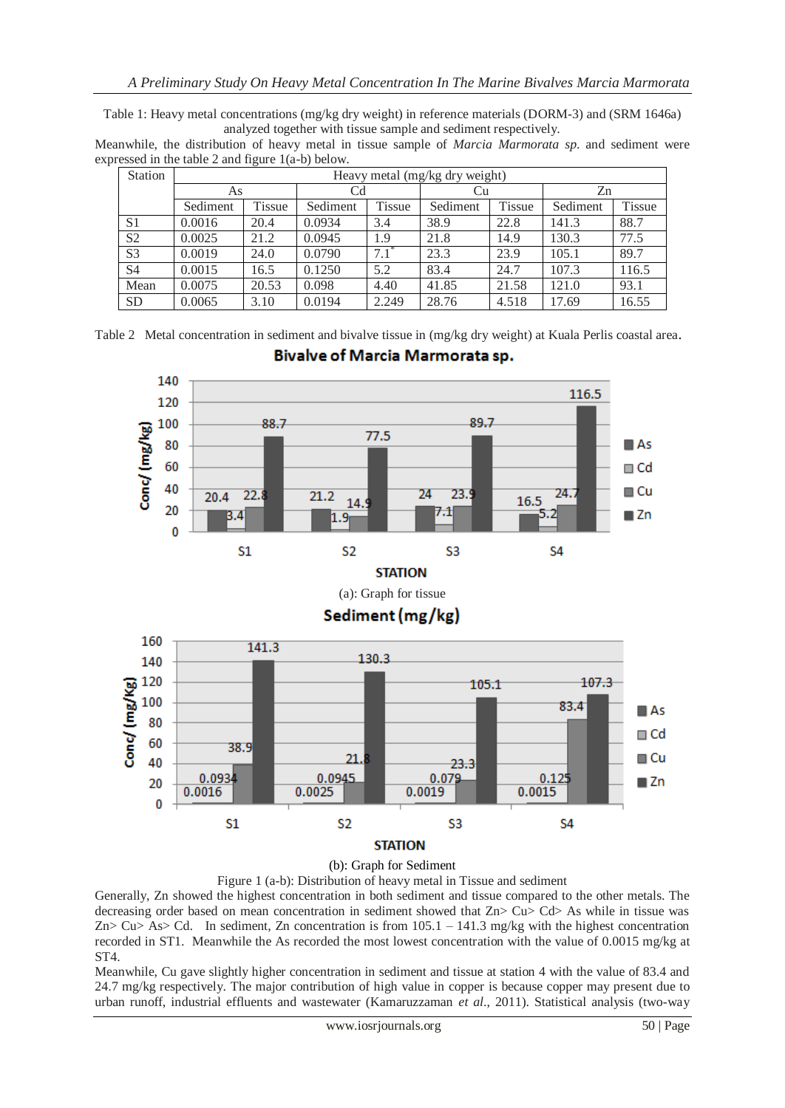Table 1: Heavy metal concentrations (mg/kg dry weight) in reference materials (DORM-3) and (SRM 1646a) analyzed together with tissue sample and sediment respectively.

Meanwhile, the distribution of heavy metal in tissue sample of *Marcia Marmorata sp*. and sediment were expressed in the table 2 and figure 1(a-b) below.

| <b>Station</b> | Heavy metal (mg/kg dry weight) |               |          |               |          |               |          |               |
|----------------|--------------------------------|---------------|----------|---------------|----------|---------------|----------|---------------|
|                | As                             |               | Cd       |               | Cu       |               | Zn       |               |
|                | Sediment                       | <b>Tissue</b> | Sediment | <b>Tissue</b> | Sediment | <b>Tissue</b> | Sediment | <b>Tissue</b> |
| S <sub>1</sub> | 0.0016                         | 20.4          | 0.0934   | 3.4           | 38.9     | 22.8          | 141.3    | 88.7          |
| S <sub>2</sub> | 0.0025                         | 21.2          | 0.0945   | 1.9           | 21.8     | 14.9          | 130.3    | 77.5          |
| S <sub>3</sub> | 0.0019                         | 24.0          | 0.0790   | 7.1           | 23.3     | 23.9          | 105.1    | 89.7          |
| S <sub>4</sub> | 0.0015                         | 16.5          | 0.1250   | 5.2           | 83.4     | 24.7          | 107.3    | 116.5         |
| Mean           | 0.0075                         | 20.53         | 0.098    | 4.40          | 41.85    | 21.58         | 121.0    | 93.1          |
| <b>SD</b>      | 0.0065                         | 3.10          | 0.0194   | 2.249         | 28.76    | 4.518         | 17.69    | 16.55         |

Table 2 Metal concentration in sediment and bivalve tissue in (mg/kg dry weight) at Kuala Perlis coastal area.



Bivalve of Marcia Marmorata sp.

(b): Graph for Sediment

Figure 1 (a-b): Distribution of heavy metal in Tissue and sediment

Generally, Zn showed the highest concentration in both sediment and tissue compared to the other metals. The decreasing order based on mean concentration in sediment showed that Zn> Cu> Cd> As while in tissue was  $Zn > Cu > As > Cd$ . In sediment, Zn concentration is from  $105.1 - 141.3$  mg/kg with the highest concentration recorded in ST1. Meanwhile the As recorded the most lowest concentration with the value of 0.0015 mg/kg at ST4.

Meanwhile, Cu gave slightly higher concentration in sediment and tissue at station 4 with the value of 83.4 and 24.7 mg/kg respectively. The major contribution of high value in copper is because copper may present due to urban runoff, industrial effluents and wastewater (Kamaruzzaman *et al*., 2011). Statistical analysis (two-way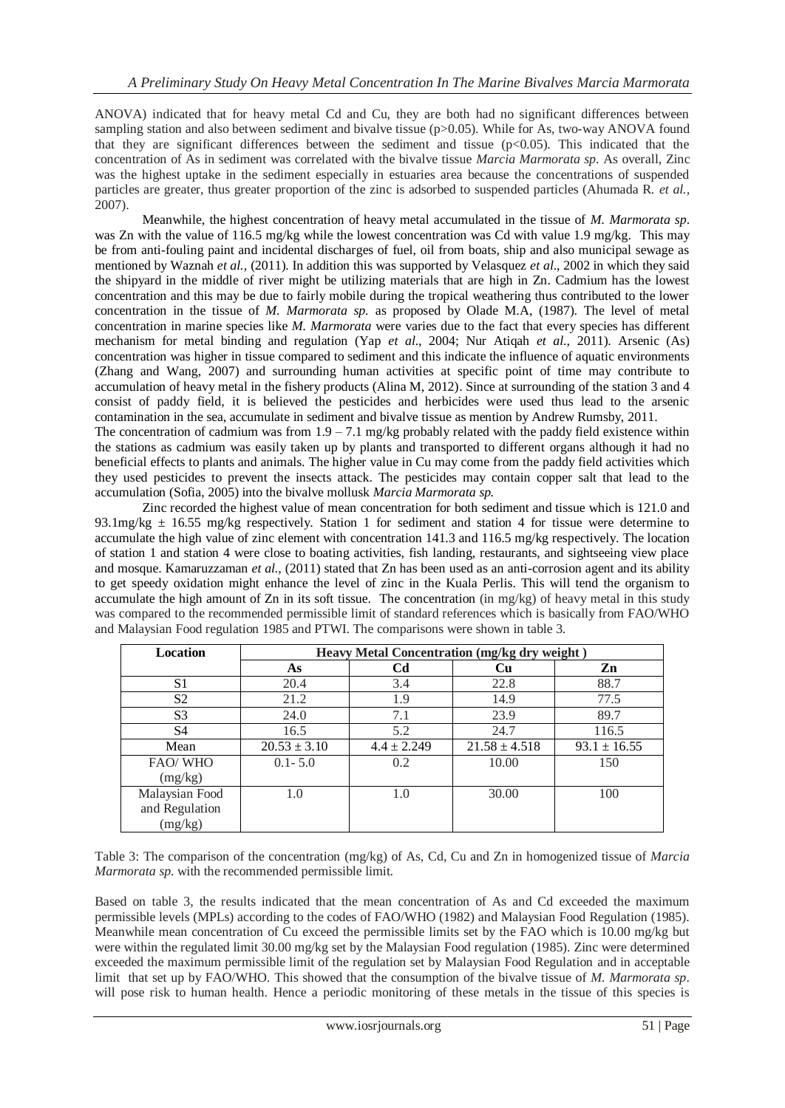ANOVA) indicated that for heavy metal Cd and Cu, they are both had no significant differences between sampling station and also between sediment and bivalve tissue (p>0.05). While for As, two-way ANOVA found that they are significant differences between the sediment and tissue  $(p<0.05)$ . This indicated that the concentration of As in sediment was correlated with the bivalve tissue *Marcia Marmorata sp*. As overall, Zinc was the highest uptake in the sediment especially in estuaries area because the concentrations of suspended particles are greater, thus greater proportion of the zinc is adsorbed to suspended particles (Ahumada R. *et al.,* 2007).

Meanwhile, the highest concentration of heavy metal accumulated in the tissue of *M. Marmorata sp*. was Zn with the value of 116.5 mg/kg while the lowest concentration was Cd with value 1.9 mg/kg. This may be from anti-fouling paint and incidental discharges of fuel, oil from boats, ship and also municipal sewage as mentioned by Waznah *et al.,* (2011). In addition this was supported by Velasquez *et al*., 2002 in which they said the shipyard in the middle of river might be utilizing materials that are high in Zn. Cadmium has the lowest concentration and this may be due to fairly mobile during the tropical weathering thus contributed to the lower concentration in the tissue of *M. Marmorata sp.* as proposed by Olade M.A, (1987). The level of metal concentration in marine species like *M. Marmorata* were varies due to the fact that every species has different mechanism for metal binding and regulation (Yap *et al*., 2004; Nur Atiqah *et al.,* 2011). Arsenic (As) concentration was higher in tissue compared to sediment and this indicate the influence of aquatic environments (Zhang and Wang, 2007) and surrounding human activities at specific point of time may contribute to accumulation of heavy metal in the fishery products (Alina M, 2012). Since at surrounding of the station 3 and 4 consist of paddy field, it is believed the pesticides and herbicides were used thus lead to the arsenic contamination in the sea, accumulate in sediment and bivalve tissue as mention by Andrew Rumsby, 2011. The concentration of cadmium was from  $1.9 - 7.1$  mg/kg probably related with the paddy field existence within

the stations as cadmium was easily taken up by plants and transported to different organs although it had no beneficial effects to plants and animals. The higher value in Cu may come from the paddy field activities which they used pesticides to prevent the insects attack. The pesticides may contain copper salt that lead to the accumulation (Sofia, 2005) into the bivalve mollusk *Marcia Marmorata sp.* 

Zinc recorded the highest value of mean concentration for both sediment and tissue which is 121.0 and 93.1mg/kg  $\pm$  16.55 mg/kg respectively. Station 1 for sediment and station 4 for tissue were determine to accumulate the high value of zinc element with concentration 141.3 and 116.5 mg/kg respectively. The location of station 1 and station 4 were close to boating activities, fish landing, restaurants, and sightseeing view place and mosque. Kamaruzzaman *et al.,* (2011) stated that Zn has been used as an anti-corrosion agent and its ability to get speedy oxidation might enhance the level of zinc in the Kuala Perlis. This will tend the organism to accumulate the high amount of Zn in its soft tissue. The concentration (in mg/kg) of heavy metal in this study was compared to the recommended permissible limit of standard references which is basically from FAO/WHO and Malaysian Food regulation 1985 and PTWI. The comparisons were shown in table 3.

| <b>Location</b> | Heavy Metal Concentration (mg/kg dry weight) |                 |                   |                  |  |  |  |
|-----------------|----------------------------------------------|-----------------|-------------------|------------------|--|--|--|
|                 | As                                           | Cd              | <b>Cu</b>         | Zn               |  |  |  |
| S1              | 20.4                                         | 3.4             | 22.8              | 88.7             |  |  |  |
| S <sub>2</sub>  | 21.2                                         | 1.9             | 14.9              | 77.5             |  |  |  |
| S <sub>3</sub>  | 24.0                                         | 7.1             | 23.9              | 89.7             |  |  |  |
| S4              | 16.5                                         | 5.2             | 24.7              | 116.5            |  |  |  |
| Mean            | $20.53 \pm 3.10$                             | $4.4 \pm 2.249$ | $21.58 \pm 4.518$ | $93.1 \pm 16.55$ |  |  |  |
| FAO/WHO         | $0.1 - 5.0$                                  | 0.2             | 10.00             | 150              |  |  |  |
| (mg/kg)         |                                              |                 |                   |                  |  |  |  |
| Malaysian Food  | 1.0                                          | 1.0             | 30.00             | 100              |  |  |  |
| and Regulation  |                                              |                 |                   |                  |  |  |  |
| (mg/kg)         |                                              |                 |                   |                  |  |  |  |

Table 3: The comparison of the concentration (mg/kg) of As, Cd, Cu and Zn in homogenized tissue of *Marcia Marmorata sp*. with the recommended permissible limit.

Based on table 3, the results indicated that the mean concentration of As and Cd exceeded the maximum permissible levels (MPLs) according to the codes of FAO/WHO (1982) and Malaysian Food Regulation (1985). Meanwhile mean concentration of Cu exceed the permissible limits set by the FAO which is 10.00 mg/kg but were within the regulated limit 30.00 mg/kg set by the Malaysian Food regulation (1985). Zinc were determined exceeded the maximum permissible limit of the regulation set by Malaysian Food Regulation and in acceptable limit that set up by FAO/WHO. This showed that the consumption of the bivalve tissue of *M. Marmorata sp*. will pose risk to human health. Hence a periodic monitoring of these metals in the tissue of this species is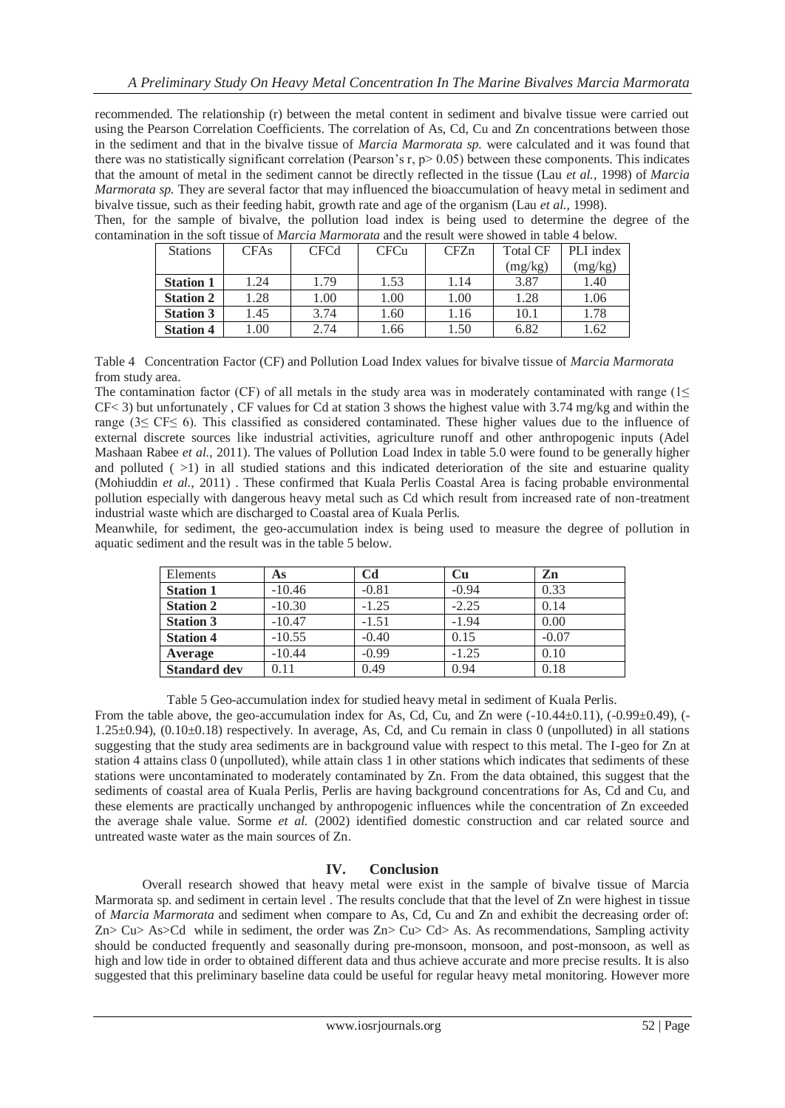recommended. The relationship (r) between the metal content in sediment and bivalve tissue were carried out using the Pearson Correlation Coefficients. The correlation of As, Cd, Cu and Zn concentrations between those in the sediment and that in the bivalve tissue of *Marcia Marmorata sp.* were calculated and it was found that there was no statistically significant correlation (Pearson's r,  $p$  > 0.05) between these components. This indicates that the amount of metal in the sediment cannot be directly reflected in the tissue (Lau *et al.,* 1998) of *Marcia Marmorata sp.* They are several factor that may influenced the bioaccumulation of heavy metal in sediment and bivalve tissue, such as their feeding habit, growth rate and age of the organism (Lau *et al.,* 1998).

Then, for the sample of bivalve, the pollution load index is being used to determine the degree of the contamination in the soft tissue of *Marcia Marmorata* and the result were showed in table 4 below.

| <b>Stations</b>  | <b>CFAs</b> | <b>CFCd</b> | <b>CFCu</b> | CFZn | <b>Total CF</b> | PLI index |
|------------------|-------------|-------------|-------------|------|-----------------|-----------|
|                  |             |             |             |      | (mg/kg)         | (mg/kg)   |
| <b>Station 1</b> | 1.24        | 1.79        | 1.53        | 1.14 | 3.87            | 1.40      |
| <b>Station 2</b> | 1.28        | 1.00        | 1.00        | 1.00 | 1.28            | 1.06      |
| <b>Station 3</b> | 1.45        | 3.74        | .60         | 1.16 | 10.1            | 1.78      |
| <b>Station 4</b> | 1.00        | 2.74        | .66         | 1.50 | 6.82            | 1.62      |

Table 4 Concentration Factor (CF) and Pollution Load Index values for bivalve tissue of *Marcia Marmorata* from study area.

The contamination factor (CF) of all metals in the study area was in moderately contaminated with range ( $1 \le$ CF< 3) but unfortunately , CF values for Cd at station 3 shows the highest value with 3.74 mg/kg and within the range (3≤ CF≤ 6). This classified as considered contaminated. These higher values due to the influence of external discrete sources like industrial activities, agriculture runoff and other anthropogenic inputs (Adel Mashaan Rabee *et al.,* 2011). The values of Pollution Load Index in table 5.0 were found to be generally higher and polluted (  $>1$ ) in all studied stations and this indicated deterioration of the site and estuarine quality (Mohiuddin *et al.,* 2011) . These confirmed that Kuala Perlis Coastal Area is facing probable environmental pollution especially with dangerous heavy metal such as Cd which result from increased rate of non-treatment industrial waste which are discharged to Coastal area of Kuala Perlis.

Meanwhile, for sediment, the geo-accumulation index is being used to measure the degree of pollution in aquatic sediment and the result was in the table 5 below.

| Elements            | As       | C <sub>d</sub> | <b>Cu</b> | Zn      |
|---------------------|----------|----------------|-----------|---------|
| <b>Station 1</b>    | $-10.46$ | $-0.81$        | $-0.94$   | 0.33    |
| <b>Station 2</b>    | $-10.30$ | $-1.25$        | $-2.25$   | 0.14    |
| <b>Station 3</b>    | $-10.47$ | $-1.51$        | $-1.94$   | 0.00    |
| <b>Station 4</b>    | $-10.55$ | $-0.40$        | 0.15      | $-0.07$ |
| Average             | $-10.44$ | $-0.99$        | $-1.25$   | 0.10    |
| <b>Standard dev</b> | 0.11     | 0.49           | 0.94      | 0.18    |

Table 5 Geo-accumulation index for studied heavy metal in sediment of Kuala Perlis. From the table above, the geo-accumulation index for As, Cd, Cu, and Zn were  $(-10.44\pm0.11)$ ,  $(-0.99\pm0.49)$ ,  $(-0.99\pm0.49)$  $1.25\pm0.94$ ),  $(0.10\pm0.18)$  respectively. In average, As, Cd, and Cu remain in class 0 (unpolluted) in all stations suggesting that the study area sediments are in background value with respect to this metal. The I-geo for Zn at station 4 attains class 0 (unpolluted), while attain class 1 in other stations which indicates that sediments of these stations were uncontaminated to moderately contaminated by Zn. From the data obtained, this suggest that the sediments of coastal area of Kuala Perlis, Perlis are having background concentrations for As, Cd and Cu, and these elements are practically unchanged by anthropogenic influences while the concentration of Zn exceeded the average shale value. Sorme *et al.* (2002) identified domestic construction and car related source and untreated waste water as the main sources of Zn.

### **IV. Conclusion**

Overall research showed that heavy metal were exist in the sample of bivalve tissue of Marcia Marmorata sp. and sediment in certain level . The results conclude that that the level of Zn were highest in tissue of *Marcia Marmorata* and sediment when compare to As, Cd, Cu and Zn and exhibit the decreasing order of:  $Zn > Cu > As > Cd$  while in sediment, the order was  $Zn > Cu > Cd > As$ . As recommendations, Sampling activity should be conducted frequently and seasonally during pre-monsoon, monsoon, and post-monsoon, as well as high and low tide in order to obtained different data and thus achieve accurate and more precise results. It is also suggested that this preliminary baseline data could be useful for regular heavy metal monitoring. However more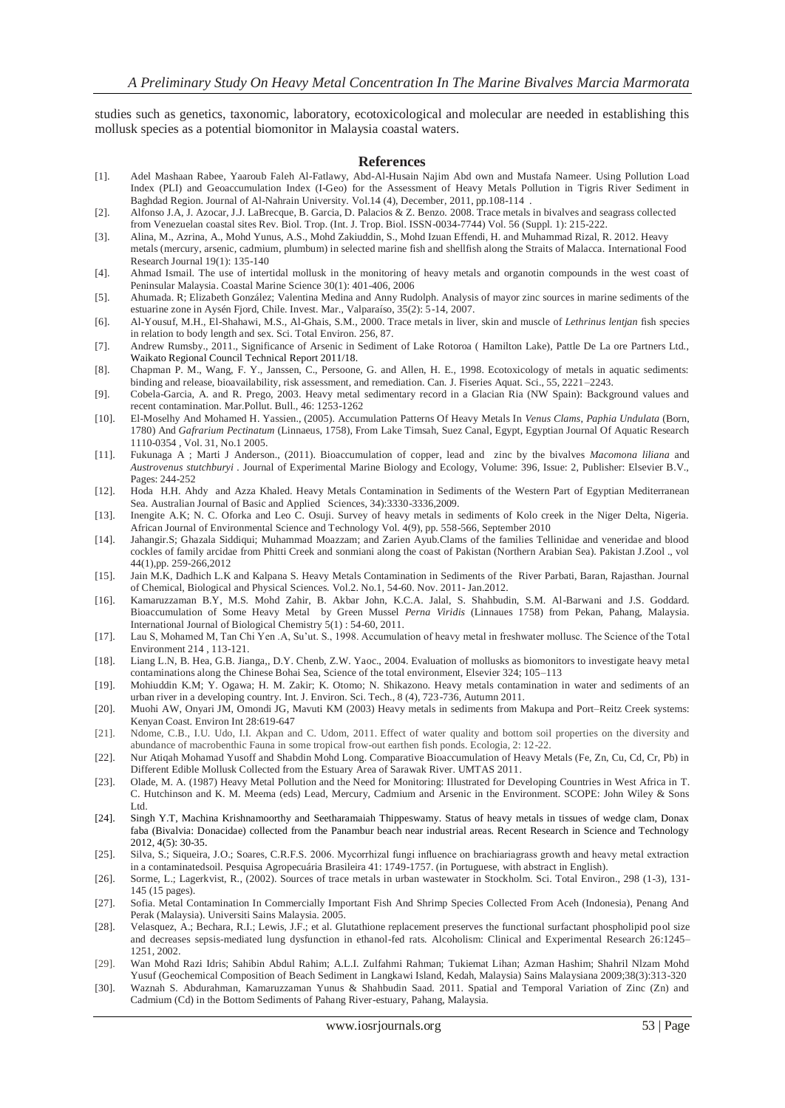studies such as genetics, taxonomic, laboratory, ecotoxicological and molecular are needed in establishing this mollusk species as a potential biomonitor in Malaysia coastal waters.

#### **References**

- [1]. Adel Mashaan Rabee, Yaaroub Faleh Al-Fatlawy, Abd-Al-Husain Najim Abd own and Mustafa Nameer. Using Pollution Load Index (PLI) and Geoaccumulation Index (I-Geo) for the Assessment of Heavy Metals Pollution in Tigris River Sediment in Baghdad Region. Journal of Al-Nahrain University. Vol.14 (4), December, 2011, pp.108-114 .
- [2]. Alfonso J.A, J. Azocar, J.J. LaBrecque, B. Garcia, D. Palacios & Z. Benzo. 2008. Trace metals in bivalves and seagrass collected from Venezuelan coastal sites Rev. Biol. Trop. (Int. J. Trop. Biol. ISSN-0034-7744) Vol. 56 (Suppl. 1): 215-222.
- [3]. Alina, M., Azrina, A., Mohd Yunus, A.S., Mohd Zakiuddin, S., Mohd Izuan Effendi, H. and Muhammad Rizal, R. 2012. Heavy metals (mercury, arsenic, cadmium, plumbum) in selected marine fish and shellfish along the Straits of Malacca. International Food Research Journal 19(1): 135-140
- [4]. Ahmad Ismail. The use of intertidal mollusk in the monitoring of heavy metals and organotin compounds in the west coast of Peninsular Malaysia. Coastal Marine Science 30(1): 401-406, 2006
- [5]. Ahumada. R; Elizabeth González; Valentina Medina and Anny Rudolph. Analysis of mayor zinc sources in marine sediments of the estuarine zone in Aysén Fjord, Chile. Invest. Mar., Valparaíso, 35(2): 5-14, 2007.
- [6]. Al-Yousuf, M.H., El-Shahawi, M.S., Al-Ghais, S.M., 2000. Trace metals in liver, skin and muscle of *Lethrinus lentjan* fish species in relation to body length and sex. Sci. Total Environ. 256, 87.
- [7]. Andrew Rumsby., 2011., Significance of Arsenic in Sediment of Lake Rotoroa ( Hamilton Lake), Pattle De La ore Partners Ltd., Waikato Regional Council Technical Report 2011/18.
- [8]. Chapman P. M., Wang, F. Y., Janssen, C., Persoone, G. and Allen, H. E., 1998. Ecotoxicology of metals in aquatic sediments: binding and release, bioavailability, risk assessment, and remediation. Can. J. Fiseries Aquat. Sci., 55, 2221–2243.
- [9]. Cobela-Garcia, A. and R. Prego, 2003. Heavy metal sedimentary record in a Glacian Ria (NW Spain): Background values and recent contamination. Mar.Pollut. Bull., 46: 1253-1262
- [10]. El-Moselhy And Mohamed H. Yassien., (2005). Accumulation Patterns Of Heavy Metals In *Venus Clams*, *Paphia Undulata* (Born, 1780) And *Gafrarium Pectinatum* (Linnaeus, 1758), From Lake Timsah, Suez Canal, Egypt, Egyptian Journal Of Aquatic Research 1110-0354 , Vol. 31, No.1 2005.
- [11]. Fukunaga A ; Marti J Anderson., (2011). Bioaccumulation of copper, lead and zinc by the bivalves *Macomona liliana* and *Austrovenus stutchburyi .* Journal of Experimental Marine Biology and Ecology, Volume: 396, Issue: 2, Publisher: Elsevier B.V., Pages: 244-252
- [12]. Hoda H.H. Ahdy and Azza Khaled. Heavy Metals Contamination in Sediments of the Western Part of Egyptian Mediterranean Sea. Australian Journal of Basic and Applied Sciences, 34):3330-3336,2009.
- [13]. Inengite A.K; N. C. Oforka and Leo C. Osuji. Survey of heavy metals in sediments of Kolo creek in the Niger Delta, Nigeria. African Journal of Environmental Science and Technology Vol. 4(9), pp. 558-566, September 2010
- [14]. Jahangir.S; Ghazala Siddiqui; Muhammad Moazzam; and Zarien Ayub.Clams of the families Tellinidae and veneridae and blood cockles of family arcidae from Phitti Creek and sonmiani along the coast of Pakistan (Northern Arabian Sea). Pakistan J.Zool ., vol 44(1),pp. 259-266,2012
- [15]. Jain M.K, Dadhich L.K and Kalpana S. Heavy Metals Contamination in Sediments of the River Parbati, Baran, Rajasthan. Journal of Chemical, Biological and Physical Sciences. Vol.2. No.1, 54-60. Nov. 2011- Jan.2012.
- [16]. Kamaruzzaman B.Y, M.S. Mohd Zahir, B. Akbar John, K.C.A. Jalal, S. Shahbudin, S.M. Al-Barwani and J.S. Goddard. Bioaccumulation of Some Heavy Metal by Green Mussel *Perna Viridis* (Linnaues 1758) from Pekan, Pahang, Malaysia. International Journal of Biological Chemistry 5(1) : 54-60, 2011.
- [17]. Lau S, Mohamed M, Tan Chi Yen .A, Su'ut. S., 1998. Accumulation of heavy metal in freshwater mollusc. The Science of the Total Environment 214 , 113-121.
- [18]. Liang L.N, B. Hea, G.B. Jianga,, D.Y. Chenb, Z.W. Yaoc., 2004. Evaluation of mollusks as biomonitors to investigate heavy metal contaminations along the Chinese Bohai Sea, Science of the total environment, Elsevier 324; 105–113
- [19]. Mohiuddin K.M; Y. Ogawa; H. M. Zakir; K. Otomo; N. Shikazono. Heavy metals contamination in water and sediments of an urban river in a developing country. Int. J. Environ. Sci. Tech., 8 (4), 723-736, Autumn 2011.
- [20]. Muohi AW, Onyari JM, Omondi JG, Mavuti KM (2003) Heavy metals in sediments from Makupa and Port–Reitz Creek systems: Kenyan Coast. Environ Int 28:619-647
- [21]. Ndome, C.B., I.U. Udo, I.I. Akpan and C. Udom, 2011. Effect of water quality and bottom soil properties on the diversity and abundance of macrobenthic Fauna in some tropical frow-out earthen fish ponds. Ecologia, 2: 12-22.
- [22]. Nur Atiqah Mohamad Yusoff and Shabdin Mohd Long. Comparative Bioaccumulation of Heavy Metals (Fe, Zn, Cu, Cd, Cr, Pb) in Different Edible Mollusk Collected from the Estuary Area of Sarawak River. UMTAS 2011.
- [23]. Olade, M. A. (1987) Heavy Metal Pollution and the Need for Monitoring: Illustrated for Developing Countries in West Africa in T. C. Hutchinson and K. M. Meema (eds) Lead, Mercury, Cadmium and Arsenic in the Environment. SCOPE: John Wiley & Sons Ltd.
- [24]. Singh Y.T, Machina Krishnamoorthy and Seetharamaiah Thippeswamy. Status of heavy metals in tissues of wedge clam, Donax faba (Bivalvia: Donacidae) collected from the Panambur beach near industrial areas. Recent Research in Science and Technology 2012, 4(5): 30-35.
- [25]. Silva, S.; Siqueira, J.O.; Soares, C.R.F.S. 2006. Mycorrhizal fungi influence on brachiariagrass growth and heavy metal extraction in a contaminatedsoil. Pesquisa Agropecuária Brasileira 41: 1749-1757. (in Portuguese, with abstract in English).
- [26]. Sorme, L.; Lagerkvist, R., (2002). Sources of trace metals in urban wastewater in Stockholm. Sci. Total Environ., 298 (1-3), 131- 145 (15 pages).
- [27]. Sofia. Metal Contamination In Commercially Important Fish And Shrimp Species Collected From Aceh (Indonesia), Penang And Perak (Malaysia). Universiti Sains Malaysia. 2005.
- [28]. Velasquez, A.; Bechara, R.I.; Lewis, J.F.; et al. Glutathione replacement preserves the functional surfactant phospholipid pool size and decreases sepsis-mediated lung dysfunction in ethanol-fed rats. Alcoholism: Clinical and Experimental Research 26:1245– 1251, 2002.
- [29]. Wan Mohd Razi Idris; Sahibin Abdul Rahim; A.L.I. Zulfahmi Rahman; Tukiemat Lihan; Azman Hashim; Shahril Nlzam Mohd Yusuf (Geochemical Composition of Beach Sediment in Langkawi Island, Kedah, Malaysia) Sains Malaysiana 2009;38(3):313-320
- [30]. Waznah S. Abdurahman, Kamaruzzaman Yunus & Shahbudin Saad. 2011. Spatial and Temporal Variation of Zinc (Zn) and Cadmium (Cd) in the Bottom Sediments of Pahang River-estuary, Pahang, Malaysia.